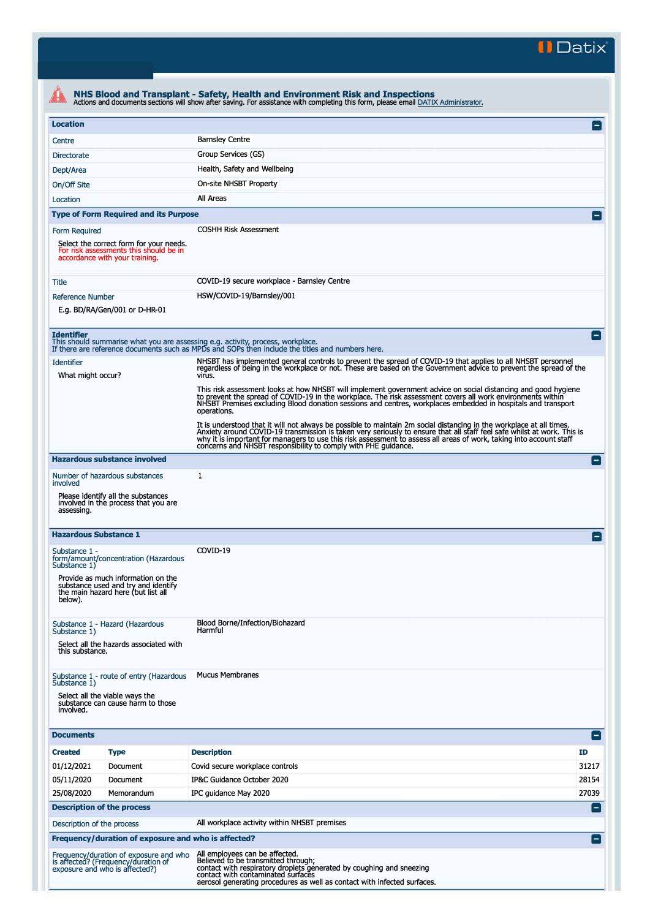**II Datix"** 

|                                        | Actions and documents sections will show after saving. For assistance with completing this form, please email DATIX Administrator. |                                                                                                                                                                                                                                                                                                                                                                                                                                          |                |
|----------------------------------------|------------------------------------------------------------------------------------------------------------------------------------|------------------------------------------------------------------------------------------------------------------------------------------------------------------------------------------------------------------------------------------------------------------------------------------------------------------------------------------------------------------------------------------------------------------------------------------|----------------|
| <b>Location</b>                        |                                                                                                                                    |                                                                                                                                                                                                                                                                                                                                                                                                                                          | $\Box$         |
| Centre                                 |                                                                                                                                    | <b>Barnsley Centre</b>                                                                                                                                                                                                                                                                                                                                                                                                                   |                |
| <b>Directorate</b>                     |                                                                                                                                    | Group Services (GS)                                                                                                                                                                                                                                                                                                                                                                                                                      |                |
| Dept/Area                              |                                                                                                                                    | Health, Safety and Wellbeing                                                                                                                                                                                                                                                                                                                                                                                                             |                |
| On/Off Site                            |                                                                                                                                    | On-site NHSBT Property                                                                                                                                                                                                                                                                                                                                                                                                                   |                |
| Location                               |                                                                                                                                    | All Areas                                                                                                                                                                                                                                                                                                                                                                                                                                |                |
|                                        | <b>Type of Form Required and its Purpose</b>                                                                                       |                                                                                                                                                                                                                                                                                                                                                                                                                                          |                |
| Form Required                          | Select the correct form for your needs.<br>For risk assessments this should be in<br>accordance with your training.                | <b>COSHH Risk Assessment</b>                                                                                                                                                                                                                                                                                                                                                                                                             |                |
| Title                                  |                                                                                                                                    | COVID-19 secure workplace - Barnsley Centre                                                                                                                                                                                                                                                                                                                                                                                              |                |
| <b>Reference Number</b>                |                                                                                                                                    | HSW/COVID-19/Barnsley/001                                                                                                                                                                                                                                                                                                                                                                                                                |                |
|                                        | E.g. BD/RA/Gen/001 or D-HR-01                                                                                                      |                                                                                                                                                                                                                                                                                                                                                                                                                                          |                |
| <b>Identifier</b>                      |                                                                                                                                    | This should summarise what you are assessing e.g. activity, process, workplace.<br>If there are reference documents such as MPDs and SOPs then include the titles and numbers here.                                                                                                                                                                                                                                                      | $\overline{ }$ |
| <b>Identifier</b><br>What might occur? |                                                                                                                                    | NHSBT has implemented general controls to prevent the spread of COVID-19 that applies to all NHSBT personnel<br>regardless of being in the workplace or not. These are based on the Government advice to prevent the spread of the<br>virus.                                                                                                                                                                                             |                |
|                                        |                                                                                                                                    | This risk assessment looks at how NHSBT will implement government advice on social distancing and good hygiene<br>to prevent the spread of COVID-19 in the workplace. The risk assessment covers all work environments within<br>NHSBT Premises excluding Blood donation sessions and centres, workplaces embedded in hospitals and transport<br>operations.                                                                             |                |
|                                        |                                                                                                                                    | It is understood that it will not always be possible to maintain 2m social distancing in the workplace at all times.<br>Anxiety around COVID-19 transmission is taken very seriously to ensure that all staff feel safe whilst at work. This is<br>why it is important for managers to use this risk assessment to assess all areas of work, taking into account staff<br>concerns and NHSBT responsibility to comply with PHE guidance. |                |
|                                        | <b>Hazardous substance involved</b>                                                                                                |                                                                                                                                                                                                                                                                                                                                                                                                                                          | н.             |
| involved                               | Number of hazardous substances                                                                                                     | 1                                                                                                                                                                                                                                                                                                                                                                                                                                        |                |
| assessing.                             | Please identify all the substances<br>involved in the process that you are                                                         |                                                                                                                                                                                                                                                                                                                                                                                                                                          |                |
| <b>Hazardous Substance 1</b>           |                                                                                                                                    |                                                                                                                                                                                                                                                                                                                                                                                                                                          |                |
| Substance 1 -<br>Substance 1)          | form/amount/concentration (Hazardous                                                                                               | COVID-19                                                                                                                                                                                                                                                                                                                                                                                                                                 |                |
| below).                                | Provide as much information on the<br>substance used and try and identify<br>the main hazard here (but list all                    |                                                                                                                                                                                                                                                                                                                                                                                                                                          |                |
| Substance 1)<br>this substance.        | Substance 1 - Hazard (Hazardous<br>Select all the hazards associated with                                                          | Blood Borne/Infection/Biohazard<br>Harmful                                                                                                                                                                                                                                                                                                                                                                                               |                |
| Substance 1)<br>involved.              | Substance 1 - route of entry (Hazardous<br>Select all the viable ways the<br>substance can cause harm to those                     | <b>Mucus Membranes</b>                                                                                                                                                                                                                                                                                                                                                                                                                   |                |
| <b>Documents</b>                       |                                                                                                                                    |                                                                                                                                                                                                                                                                                                                                                                                                                                          | E              |
| <b>Created</b>                         | <b>Type</b>                                                                                                                        | <b>Description</b>                                                                                                                                                                                                                                                                                                                                                                                                                       | <b>ID</b>      |
| 01/12/2021                             | Document                                                                                                                           | Covid secure workplace controls                                                                                                                                                                                                                                                                                                                                                                                                          | 31217          |
| 05/11/2020                             | Document                                                                                                                           | IP&C Guidance October 2020                                                                                                                                                                                                                                                                                                                                                                                                               | 28154          |
| 25/08/2020                             | Memorandum                                                                                                                         | IPC guidance May 2020                                                                                                                                                                                                                                                                                                                                                                                                                    | 27039          |
|                                        | <b>Description of the process</b>                                                                                                  |                                                                                                                                                                                                                                                                                                                                                                                                                                          | E              |
| Description of the process             |                                                                                                                                    | All workplace activity within NHSBT premises                                                                                                                                                                                                                                                                                                                                                                                             |                |
|                                        | Frequency/duration of exposure and who is affected?                                                                                |                                                                                                                                                                                                                                                                                                                                                                                                                                          | E              |
|                                        | Frequency/duration of exposure and who<br>is affected? (Frequency/duration of<br>exposure and who is affected?)                    | All employees can be affected.<br>Believed to be transmitted through;<br>contact with respiratory droplets generated by coughing and sneezing<br>contact with contaminated surfaces<br>aerosol generating procedures as well as contact with infected surfaces.                                                                                                                                                                          |                |